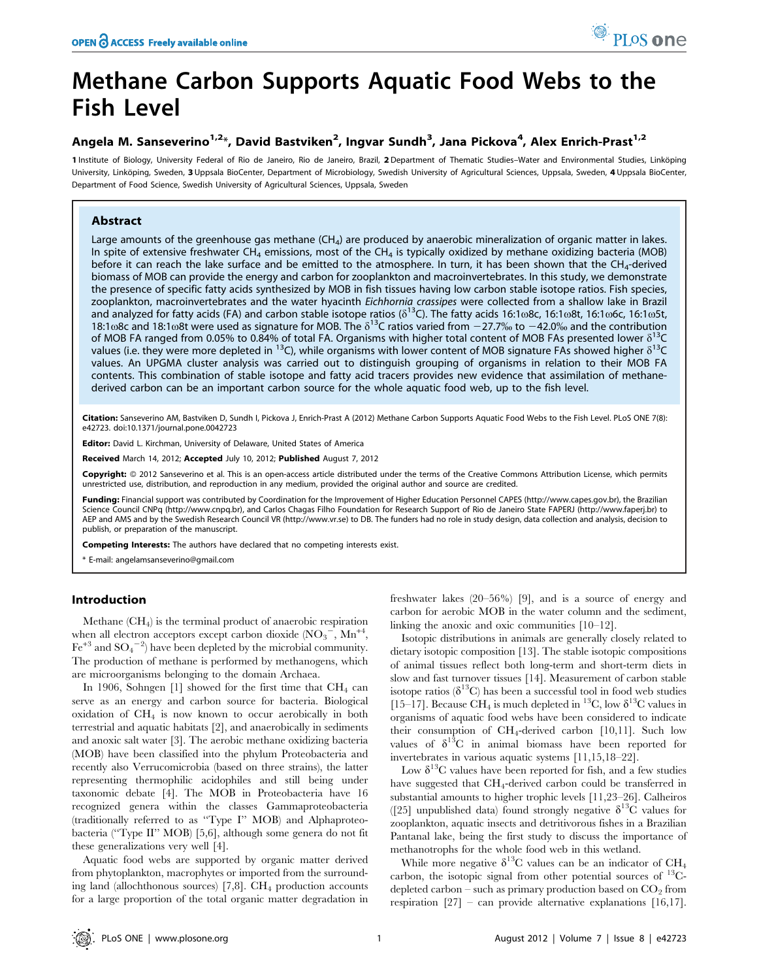# Methane Carbon Supports Aquatic Food Webs to the Fish Level

# Angela M. Sanseverino<sup>1,2</sup>\*, David Bastviken<sup>2</sup>, Ingvar Sundh<sup>3</sup>, Jana Pickova<sup>4</sup>, Alex Enrich-Prast<sup>1,2</sup>

1 Institute of Biology, University Federal of Rio de Janeiro, Rio de Janeiro, Brazil, 2 Department of Thematic Studies-Water and Environmental Studies, Linköping University, Linköping, Sweden, 3 Uppsala BioCenter, Department of Microbiology, Swedish University of Agricultural Sciences, Uppsala, Sweden, 4 Uppsala BioCenter, Department of Food Science, Swedish University of Agricultural Sciences, Uppsala, Sweden

# Abstract

Large amounts of the greenhouse gas methane  $(CH_4)$  are produced by anaerobic mineralization of organic matter in lakes. In spite of extensive freshwater CH<sub>4</sub> emissions, most of the CH<sub>4</sub> is typically oxidized by methane oxidizing bacteria (MOB) before it can reach the lake surface and be emitted to the atmosphere. In turn, it has been shown that the CH<sub>4</sub>-derived biomass of MOB can provide the energy and carbon for zooplankton and macroinvertebrates. In this study, we demonstrate the presence of specific fatty acids synthesized by MOB in fish tissues having low carbon stable isotope ratios. Fish species, zooplankton, macroinvertebrates and the water hyacinth Eichhornia crassipes were collected from a shallow lake in Brazil and analyzed for fatty acids (FA) and carbon stable isotope ratios ( $\delta^{13}$ C). The fatty acids 16:1ω8c, 16:1ω8t, 16:1ω6c, 16:1ω5t, 18:1 $\omega$ 8c and 18:1 $\omega$ 8t were used as signature for MOB. The  $\delta^{13}$ C ratios varied from  $-27.7\%$  to  $-42.0\%$  and the contribution of MOB FA ranged from 0.05% to 0.84% of total FA. Organisms with higher total content of MOB FAs presented lower  $\delta^{13}C$ values (i.e. they were more depleted in <sup>13</sup>C), while organisms with lower content of MOB signature FAs showed higher  $\delta^{13}$ C values. An UPGMA cluster analysis was carried out to distinguish grouping of organisms in relation to their MOB FA contents. This combination of stable isotope and fatty acid tracers provides new evidence that assimilation of methanederived carbon can be an important carbon source for the whole aquatic food web, up to the fish level.

Citation: Sanseverino AM, Bastviken D, Sundh I, Pickova J, Enrich-Prast A (2012) Methane Carbon Supports Aquatic Food Webs to the Fish Level. PLoS ONE 7(8): e42723. doi:10.1371/journal.pone.0042723

Editor: David L. Kirchman, University of Delaware, United States of America

Received March 14, 2012; Accepted July 10, 2012; Published August 7, 2012

Copyright: © 2012 Sanseverino et al. This is an open-access article distributed under the terms of the Creative Commons Attribution License, which permits unrestricted use, distribution, and reproduction in any medium, provided the original author and source are credited.

Funding: Financial support was contributed by Coordination for the Improvement of Higher Education Personnel CAPES (http://www.capes.gov.br), the Brazilian Science Council CNPq (http://www.cnpq.br), and Carlos Chagas Filho Foundation for Research Support of Rio de Janeiro State FAPERJ (http://www.faperj.br) to AEP and AMS and by the Swedish Research Council VR (http://www.vr.se) to DB. The funders had no role in study design, data collection and analysis, decision to publish, or preparation of the manuscript.

Competing Interests: The authors have declared that no competing interests exist.

\* E-mail: angelamsanseverino@gmail.com

### Introduction

Methane (CH4) is the terminal product of anaerobic respiration when all electron acceptors except carbon dioxide  $(NO_3^-$ ,  $Mn^{+4}$ ,  $\text{Fe}^{+3}$  and  $\text{SO}_4^{\text{--}2}$ ) have been depleted by the microbial community. The production of methane is performed by methanogens, which are microorganisms belonging to the domain Archaea.

In 1906, Sohngen [1] showed for the first time that  $CH_4$  can serve as an energy and carbon source for bacteria. Biological oxidation of  $CH<sub>4</sub>$  is now known to occur aerobically in both terrestrial and aquatic habitats [2], and anaerobically in sediments and anoxic salt water [3]. The aerobic methane oxidizing bacteria (MOB) have been classified into the phylum Proteobacteria and recently also Verrucomicrobia (based on three strains), the latter representing thermophilic acidophiles and still being under taxonomic debate [4]. The MOB in Proteobacteria have 16 recognized genera within the classes Gammaproteobacteria (traditionally referred to as ''Type I'' MOB) and Alphaproteobacteria (''Type II'' MOB) [5,6], although some genera do not fit these generalizations very well [4].

Aquatic food webs are supported by organic matter derived from phytoplankton, macrophytes or imported from the surrounding land (allochthonous sources)  $[7,8]$ . CH<sub>4</sub> production accounts for a large proportion of the total organic matter degradation in freshwater lakes (20–56%) [9], and is a source of energy and carbon for aerobic MOB in the water column and the sediment, linking the anoxic and oxic communities [10–12].

Isotopic distributions in animals are generally closely related to dietary isotopic composition [13]. The stable isotopic compositions of animal tissues reflect both long-term and short-term diets in slow and fast turnover tissues [14]. Measurement of carbon stable isotope ratios ( $\delta^{13}$ C) has been a successful tool in food web studies [15–17]. Because CH<sub>4</sub> is much depleted in <sup>13</sup>C, low  $\delta^{13}$ C values in organisms of aquatic food webs have been considered to indicate their consumption of CH4-derived carbon [10,11]. Such low values of  $\delta^{13}C$  in animal biomass have been reported for invertebrates in various aquatic systems [11,15,18–22].

Low  $\delta^{13}$ C values have been reported for fish, and a few studies have suggested that CH<sub>4</sub>-derived carbon could be transferred in substantial amounts to higher trophic levels [11,23–26]. Calheiros ([25] unpublished data) found strongly negative  $\delta^{13}$ C values for zooplankton, aquatic insects and detritivorous fishes in a Brazilian Pantanal lake, being the first study to discuss the importance of methanotrophs for the whole food web in this wetland.

While more negative  $\delta^{13}$ C values can be an indicator of CH<sub>4</sub> carbon, the isotopic signal from other potential sources of  $^{13}$ Cdepleted carbon – such as primary production based on  $CO<sub>2</sub>$  from respiration  $[27]$  – can provide alternative explanations  $[16,17]$ .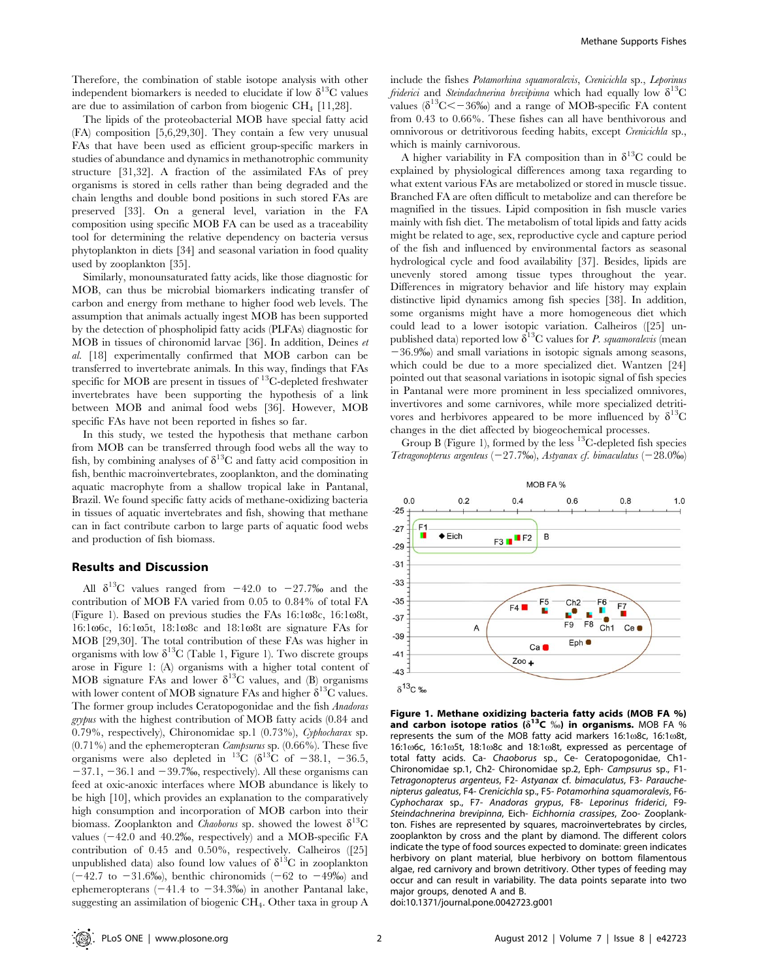Therefore, the combination of stable isotope analysis with other independent biomarkers is needed to elucidate if low  $\delta^{13}$ C values are due to assimilation of carbon from biogenic  $CH_4$  [11,28].

The lipids of the proteobacterial MOB have special fatty acid (FA) composition [5,6,29,30]. They contain a few very unusual FAs that have been used as efficient group-specific markers in studies of abundance and dynamics in methanotrophic community structure [31,32]. A fraction of the assimilated FAs of prey organisms is stored in cells rather than being degraded and the chain lengths and double bond positions in such stored FAs are preserved [33]. On a general level, variation in the FA composition using specific MOB FA can be used as a traceability tool for determining the relative dependency on bacteria versus phytoplankton in diets [34] and seasonal variation in food quality used by zooplankton [35].

Similarly, monounsaturated fatty acids, like those diagnostic for MOB, can thus be microbial biomarkers indicating transfer of carbon and energy from methane to higher food web levels. The assumption that animals actually ingest MOB has been supported by the detection of phospholipid fatty acids (PLFAs) diagnostic for MOB in tissues of chironomid larvae [36]. In addition, Deines et al. [18] experimentally confirmed that MOB carbon can be transferred to invertebrate animals. In this way, findings that FAs specific for MOB are present in tissues of  $^{13}$ C-depleted freshwater invertebrates have been supporting the hypothesis of a link between MOB and animal food webs [36]. However, MOB specific FAs have not been reported in fishes so far.

In this study, we tested the hypothesis that methane carbon from MOB can be transferred through food webs all the way to fish, by combining analyses of  $\delta^{13}$ C and fatty acid composition in fish, benthic macroinvertebrates, zooplankton, and the dominating aquatic macrophyte from a shallow tropical lake in Pantanal, Brazil. We found specific fatty acids of methane-oxidizing bacteria in tissues of aquatic invertebrates and fish, showing that methane can in fact contribute carbon to large parts of aquatic food webs and production of fish biomass.

#### Results and Discussion

All  $\delta^{13}$ C values ranged from  $-42.0$  to  $-27.7\%$  and the contribution of MOB FA varied from 0.05 to 0.84% of total FA (Figure 1). Based on previous studies the FAs  $16:1\omega8c$ ,  $16:1\omega8t$ , 16:106c, 16:105t, 18:108c and 18:108t are signature FAs for MOB [29,30]. The total contribution of these FAs was higher in organisms with low  $\delta^{13}C$  (Table 1, Figure 1). Two discrete groups arose in Figure 1: (A) organisms with a higher total content of MOB signature FAs and lower  $\delta^{13}$ C values, and (B) organisms with lower content of MOB signature FAs and higher  $\delta^{13}C$  values. The former group includes Ceratopogonidae and the fish Anadoras grypus with the highest contribution of MOB fatty acids (0.84 and 0.79%, respectively), Chironomidae sp.1 (0.73%), Cyphocharax sp.  $(0.71\%)$  and the ephemeropteran *Campsurus* sp.  $(0.66\%)$ . These five organisms were also depleted in <sup>13</sup>C ( $\delta$ <sup>13</sup>C of -38.1, -36.5,  $-37.1, -36.1$  and  $-39.7%$ , respectively). All these organisms can feed at oxic-anoxic interfaces where MOB abundance is likely to be high [10], which provides an explanation to the comparatively high consumption and incorporation of MOB carbon into their biomass. Zooplankton and *Chaoborus* sp. showed the lowest  $\delta^{13}C$ values  $(-42.0 \text{ and } 40.2\%$ , respectively) and a MOB-specific FA contribution of 0.45 and 0.50%, respectively. Calheiros ([25] unpublished data) also found low values of  $\delta^{13}$ C in zooplankton  $(-42.7 \text{ to } -31.6\%)$ , benthic chironomids  $(-62 \text{ to } -49\%)$  and ephemeropterans  $(-41.4 \text{ to } -34.3\%)$  in another Pantanal lake, suggesting an assimilation of biogenic CH4. Other taxa in group A

include the fishes Potamorhina squamoralevis, Crenicichla sp., Leporinus *friderici* and *Steindachnerina brevipinna* which had equally low  $\delta^{13}C$ values ( $\delta^{13}$ C $\leq$  -36‰) and a range of MOB-specific FA content from 0.43 to 0.66%. These fishes can all have benthivorous and omnivorous or detritivorous feeding habits, except Crenicichla sp., which is mainly carnivorous.

A higher variability in FA composition than in  $\delta^{13}C$  could be explained by physiological differences among taxa regarding to what extent various FAs are metabolized or stored in muscle tissue. Branched FA are often difficult to metabolize and can therefore be magnified in the tissues. Lipid composition in fish muscle varies mainly with fish diet. The metabolism of total lipids and fatty acids might be related to age, sex, reproductive cycle and capture period of the fish and influenced by environmental factors as seasonal hydrological cycle and food availability [37]. Besides, lipids are unevenly stored among tissue types throughout the year. Differences in migratory behavior and life history may explain distinctive lipid dynamics among fish species [38]. In addition, some organisms might have a more homogeneous diet which could lead to a lower isotopic variation. Calheiros ([25] unpublished data) reported low  $\delta^{13}$ C values for *P. squamoralevis* (mean 236.9%) and small variations in isotopic signals among seasons, which could be due to a more specialized diet. Wantzen [24] pointed out that seasonal variations in isotopic signal of fish species in Pantanal were more prominent in less specialized omnivores, invertivores and some carnivores, while more specialized detritivores and herbivores appeared to be more influenced by  $\delta^{13}C$ changes in the diet affected by biogeochemical processes.

Group B (Figure 1), formed by the less  $^{13}$ C-depleted fish species Tetragonopterus argenteus ( $-27.7\%$ o), Astyanax cf. bimaculatus ( $-28.0\%$ o)



Figure 1. Methane oxidizing bacteria fatty acids (MOB FA %) and carbon isotope ratios  $(\delta^{13}C \%)$  in organisms. MOB FA % represents the sum of the MOB fatty acid markers  $16:1\omega$ 8c,  $16:1\omega$ 8t, 16:1 $\omega$ 6c, 16:1 $\omega$ 5t, 18:1 $\omega$ 8c and 18:1 $\omega$ 8t, expressed as percentage of total fatty acids. Ca- Chaoborus sp., Ce- Ceratopogonidae, Ch1- Chironomidae sp.1, Ch2- Chironomidae sp.2, Eph- Campsurus sp., F1- Tetragonopterus argenteus, F2- Astyanax cf. bimaculatus, F3- Parauchenipterus galeatus, F4- Crenicichla sp., F5- Potamorhina squamoralevis, F6- Cyphocharax sp., F7- Anadoras grypus, F8- Leporinus friderici, F9- Steindachnerina brevipinna, Eich- Eichhornia crassipes, Zoo- Zooplankton. Fishes are represented by squares, macroinvertebrates by circles, zooplankton by cross and the plant by diamond. The different colors indicate the type of food sources expected to dominate: green indicates herbivory on plant material, blue herbivory on bottom filamentous algae, red carnivory and brown detritivory. Other types of feeding may occur and can result in variability. The data points separate into two major groups, denoted A and B.

doi:10.1371/journal.pone.0042723.g001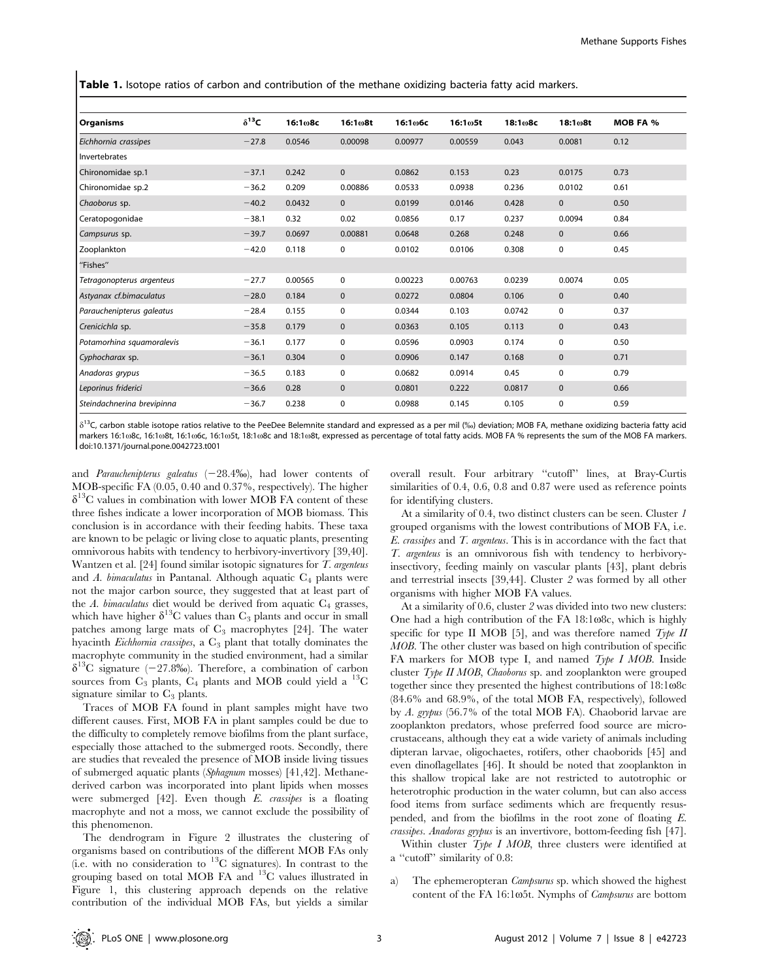Table 1. Isotope ratios of carbon and contribution of the methane oxidizing bacteria fatty acid markers.

| <b>Organisms</b>           | $\delta^{13}$ C | 16:108c | 16:1@8t      | 16:1⊕6с | 16:1 <b>o5t</b> | 18:1 <sub>0</sub> 8c | 18:108t      | <b>MOB FA %</b> |
|----------------------------|-----------------|---------|--------------|---------|-----------------|----------------------|--------------|-----------------|
| Eichhornia crassipes       | $-27.8$         | 0.0546  | 0.00098      | 0.00977 | 0.00559         | 0.043                | 0.0081       | 0.12            |
| Invertebrates              |                 |         |              |         |                 |                      |              |                 |
| Chironomidae sp.1          | $-37.1$         | 0.242   | $\mathbf 0$  | 0.0862  | 0.153           | 0.23                 | 0.0175       | 0.73            |
| Chironomidae sp.2          | $-36.2$         | 0.209   | 0.00886      | 0.0533  | 0.0938          | 0.236                | 0.0102       | 0.61            |
| Chaoborus sp.              | $-40.2$         | 0.0432  | $\mathbf{0}$ | 0.0199  | 0.0146          | 0.428                | $\mathbf{0}$ | 0.50            |
| Ceratopogonidae            | $-38.1$         | 0.32    | 0.02         | 0.0856  | 0.17            | 0.237                | 0.0094       | 0.84            |
| Campsurus sp.              | $-39.7$         | 0.0697  | 0.00881      | 0.0648  | 0.268           | 0.248                | $\mathbf 0$  | 0.66            |
| Zooplankton                | $-42.0$         | 0.118   | $\mathbf 0$  | 0.0102  | 0.0106          | 0.308                | 0            | 0.45            |
| "Fishes"                   |                 |         |              |         |                 |                      |              |                 |
| Tetragonopterus argenteus  | $-27.7$         | 0.00565 | $\mathbf 0$  | 0.00223 | 0.00763         | 0.0239               | 0.0074       | 0.05            |
| Astyanax cf.bimaculatus    | $-28.0$         | 0.184   | $\mathbf 0$  | 0.0272  | 0.0804          | 0.106                | $\mathbf 0$  | 0.40            |
| Parauchenipterus galeatus  | $-28.4$         | 0.155   | $\mathbf 0$  | 0.0344  | 0.103           | 0.0742               | 0            | 0.37            |
| Crenicichla sp.            | $-35.8$         | 0.179   | $\mathbf{0}$ | 0.0363  | 0.105           | 0.113                | $\mathbf{0}$ | 0.43            |
| Potamorhina squamoralevis  | $-36.1$         | 0.177   | $\mathbf 0$  | 0.0596  | 0.0903          | 0.174                | 0            | 0.50            |
| Cyphocharax sp.            | $-36.1$         | 0.304   | $\mathbf 0$  | 0.0906  | 0.147           | 0.168                | $\mathbf 0$  | 0.71            |
| Anadoras grypus            | $-36.5$         | 0.183   | $\mathbf 0$  | 0.0682  | 0.0914          | 0.45                 | 0            | 0.79            |
| Leporinus friderici        | $-36.6$         | 0.28    | $\mathbf 0$  | 0.0801  | 0.222           | 0.0817               | $\mathbf{0}$ | 0.66            |
| Steindachnerina brevipinna | $-36.7$         | 0.238   | $\mathbf 0$  | 0.0988  | 0.145           | 0.105                | 0            | 0.59            |

 $\delta^{13}$ C, carbon stable isotope ratios relative to the PeeDee Belemnite standard and expressed as a per mil (%) deviation; MOB FA, methane oxidizing bacteria fatty acid markers 16:108c, 16:108t, 16:106c, 16:105t, 18:108c and 18:108t, expressed as percentage of total fatty acids. MOB FA % represents the sum of the MOB FA markers. doi:10.1371/journal.pone.0042723.t001

and Parauchenipterus galeatus  $(-28.4\%)$ , had lower contents of MOB-specific FA (0.05, 0.40 and 0.37%, respectively). The higher  $\delta^{13}$ C values in combination with lower MOB FA content of these three fishes indicate a lower incorporation of MOB biomass. This conclusion is in accordance with their feeding habits. These taxa are known to be pelagic or living close to aquatic plants, presenting omnivorous habits with tendency to herbivory-invertivory [39,40]. Wantzen et al. [24] found similar isotopic signatures for T. argenteus and A. bimaculatus in Pantanal. Although aquatic  $C_4$  plants were not the major carbon source, they suggested that at least part of the A. bimaculatus diet would be derived from aquatic  $C_4$  grasses, which have higher  $\delta^{13}$ C values than C<sub>3</sub> plants and occur in small patches among large mats of  $C_3$  macrophytes [24]. The water hyacinth Eichhornia crassipes, a  $C_3$  plant that totally dominates the macrophyte community in the studied environment, had a similar  $\delta^{13}$ C signature (-27.8‰). Therefore, a combination of carbon sources from  $C_3$  plants,  $C_4$  plants and MOB could yield a  ${}^{13}C$ signature similar to  $C_3$  plants.

Traces of MOB FA found in plant samples might have two different causes. First, MOB FA in plant samples could be due to the difficulty to completely remove biofilms from the plant surface, especially those attached to the submerged roots. Secondly, there are studies that revealed the presence of MOB inside living tissues of submerged aquatic plants (Sphagnum mosses) [41,42]. Methanederived carbon was incorporated into plant lipids when mosses were submerged [42]. Even though E. crassipes is a floating macrophyte and not a moss, we cannot exclude the possibility of this phenomenon.

The dendrogram in Figure 2 illustrates the clustering of organisms based on contributions of the different MOB FAs only (i.e. with no consideration to  $^{13}$ C signatures). In contrast to the grouping based on total MOB FA and  $^{13}C$  values illustrated in Figure 1, this clustering approach depends on the relative contribution of the individual MOB FAs, but yields a similar

overall result. Four arbitrary ''cutoff'' lines, at Bray-Curtis similarities of 0.4, 0.6, 0.8 and 0.87 were used as reference points for identifying clusters.

At a similarity of 0.4, two distinct clusters can be seen. Cluster 1 grouped organisms with the lowest contributions of MOB FA, i.e. E. crassipes and T. argenteus. This is in accordance with the fact that T. argenteus is an omnivorous fish with tendency to herbivoryinsectivory, feeding mainly on vascular plants [43], plant debris and terrestrial insects [39,44]. Cluster 2 was formed by all other organisms with higher MOB FA values.

At a similarity of 0.6, cluster 2 was divided into two new clusters: One had a high contribution of the FA  $18:1\omega$ 8c, which is highly specific for type II MOB [5], and was therefore named  $Type II$ MOB. The other cluster was based on high contribution of specific FA markers for MOB type I, and named  $Type\,I\,MOB$ . Inside cluster  $Type II MOB$ , *Chaoborus* sp. and zooplankton were grouped together since they presented the highest contributions of  $18:1\omega8c$ (84.6% and 68.9%, of the total MOB FA, respectively), followed by A. grypus (56.7% of the total MOB FA). Chaoborid larvae are zooplankton predators, whose preferred food source are microcrustaceans, although they eat a wide variety of animals including dipteran larvae, oligochaetes, rotifers, other chaoborids [45] and even dinoflagellates [46]. It should be noted that zooplankton in this shallow tropical lake are not restricted to autotrophic or heterotrophic production in the water column, but can also access food items from surface sediments which are frequently resuspended, and from the biofilms in the root zone of floating E. crassipes. Anadoras grypus is an invertivore, bottom-feeding fish [47].

Within cluster Type I MOB, three clusters were identified at a ''cutoff'' similarity of 0.8:

a) The ephemeropteran Campsurus sp. which showed the highest content of the FA 16:1 $\omega$ 5t. Nymphs of *Campsurus* are bottom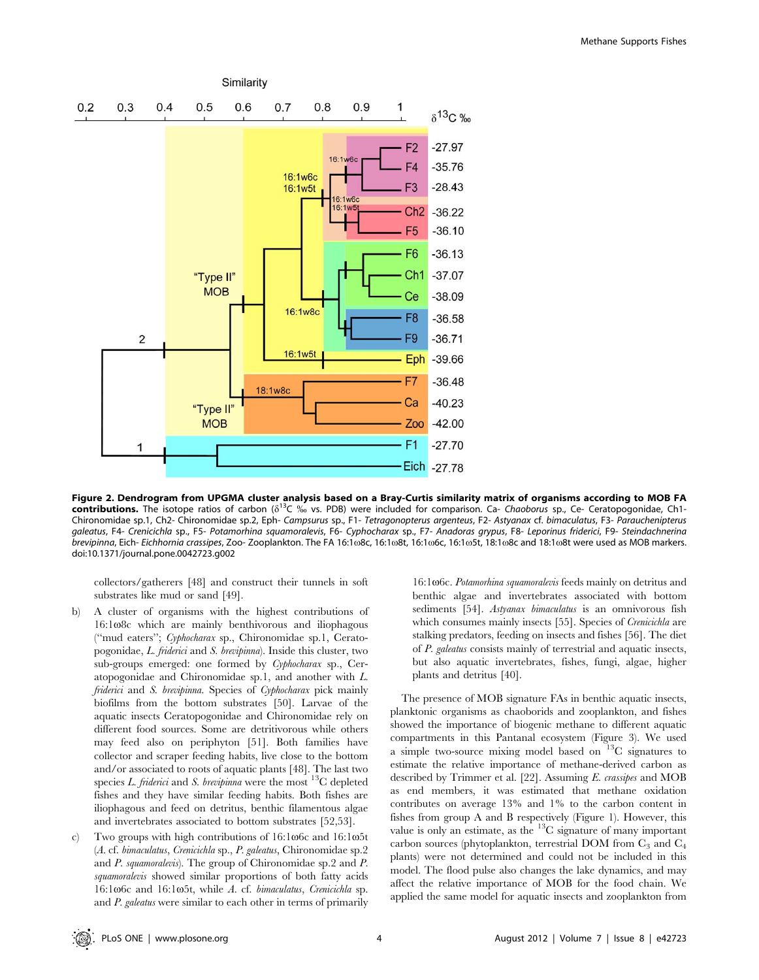

Figure 2. Dendrogram from UPGMA cluster analysis based on a Bray-Curtis similarity matrix of organisms according to MOB FA contributions. The isotope ratios of carbon ( $\delta^{13}C\%$  vs. PDB) were included for comparison. Ca- Chaoborus sp., Ce- Ceratopogonidae, Ch1-Chironomidae sp.1, Ch2- Chironomidae sp.2, Eph- Campsurus sp., F1- Tetragonopterus argenteus, F2- Astyanax cf. bimaculatus, F3- Parauchenipterus galeatus, F4- Crenicichla sp., F5- Potamorhina squamoralevis, F6- Cyphocharax sp., F7- Anadoras grypus, F8- Leporinus friderici, F9- Steindachnerina brevipinna, Eich- Eichhornia crassipes, Zoo- Zooplankton. The FA 16:108c, 16:108t, 16:106c, 16:105t, 18:108c and 18:108t were used as MOB markers. doi:10.1371/journal.pone.0042723.g002

collectors/gatherers [48] and construct their tunnels in soft substrates like mud or sand [49].

- b) A cluster of organisms with the highest contributions of  $16:1\omega$ 8c which are mainly benthivorous and iliophagous (''mud eaters''; Cyphocharax sp., Chironomidae sp.1, Ceratopogonidae, L. friderici and S. brevipinna). Inside this cluster, two sub-groups emerged: one formed by Cyphocharax sp., Ceratopogonidae and Chironomidae sp.1, and another with L. friderici and S. brevipinna. Species of Cyphocharax pick mainly biofilms from the bottom substrates [50]. Larvae of the aquatic insects Ceratopogonidae and Chironomidae rely on different food sources. Some are detritivorous while others may feed also on periphyton [51]. Both families have collector and scraper feeding habits, live close to the bottom and/or associated to roots of aquatic plants [48]. The last two species L. friderici and S. brevipinna were the most  $^{13}C$  depleted fishes and they have similar feeding habits. Both fishes are iliophagous and feed on detritus, benthic filamentous algae and invertebrates associated to bottom substrates [52,53].
- c) Two groups with high contributions of  $16:1\omega$ 6c and  $16:1\omega$ 5t (A. cf. bimaculatus, Crenicichla sp., P. galeatus, Chironomidae sp.2 and P. squamoralevis). The group of Chironomidae sp.2 and P. squamoralevis showed similar proportions of both fatty acids 16:106c and 16:105t, while A. cf. bimaculatus, Crenicichla sp. and P. galeatus were similar to each other in terms of primarily

16:1 $\omega$ 6c. Potamorhina squamoralevis feeds mainly on detritus and benthic algae and invertebrates associated with bottom sediments [54]. Astyanax bimaculatus is an omnivorous fish which consumes mainly insects [55]. Species of Crenicichla are stalking predators, feeding on insects and fishes [56]. The diet of P. galeatus consists mainly of terrestrial and aquatic insects, but also aquatic invertebrates, fishes, fungi, algae, higher plants and detritus [40].

The presence of MOB signature FAs in benthic aquatic insects, planktonic organisms as chaoborids and zooplankton, and fishes showed the importance of biogenic methane to different aquatic compartments in this Pantanal ecosystem (Figure 3). We used a simple two-source mixing model based on  $13C$  signatures to estimate the relative importance of methane-derived carbon as described by Trimmer et al. [22]. Assuming E. crassipes and MOB as end members, it was estimated that methane oxidation contributes on average 13% and 1% to the carbon content in fishes from group A and B respectively (Figure 1). However, this value is only an estimate, as the 13C signature of many important carbon sources (phytoplankton, terrestrial DOM from  $C_3$  and  $C_4$ plants) were not determined and could not be included in this model. The flood pulse also changes the lake dynamics, and may affect the relative importance of MOB for the food chain. We applied the same model for aquatic insects and zooplankton from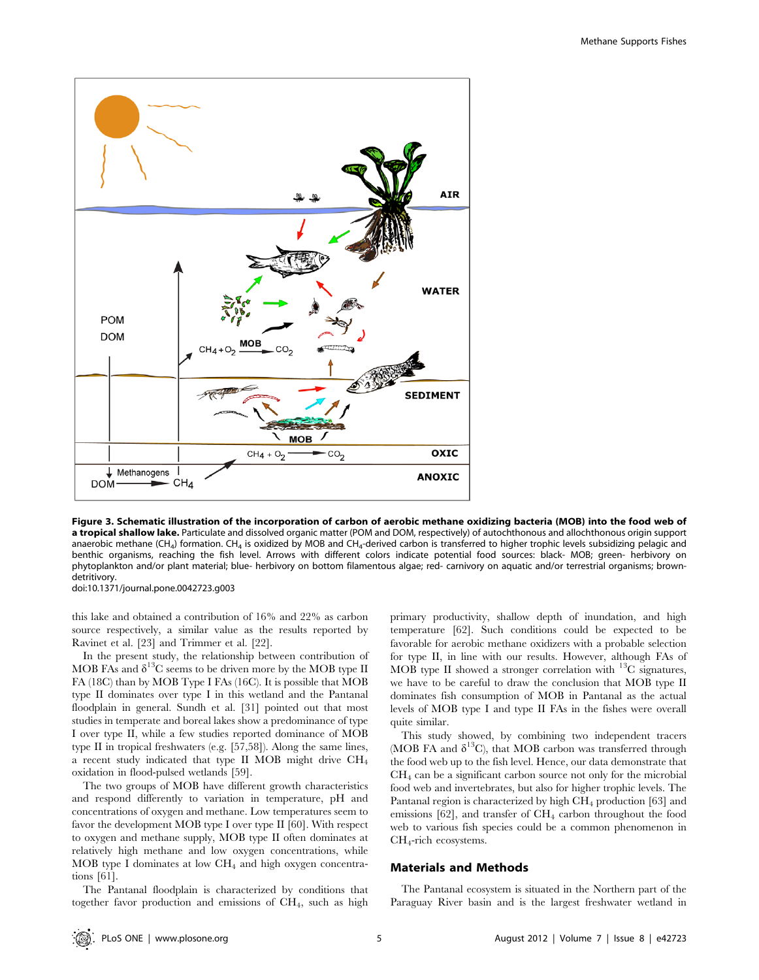

Figure 3. Schematic illustration of the incorporation of carbon of aerobic methane oxidizing bacteria (MOB) into the food web of a tropical shallow lake. Particulate and dissolved organic matter (POM and DOM, respectively) of autochthonous and allochthonous origin support anaerobic methane (CH<sub>4</sub>) formation. CH<sub>4</sub> is oxidized by MOB and CH<sub>4</sub>-derived carbon is transferred to higher trophic levels subsidizing pelagic and benthic organisms, reaching the fish level. Arrows with different colors indicate potential food sources: black- MOB; green- herbivory on phytoplankton and/or plant material; blue- herbivory on bottom filamentous algae; red- carnivory on aquatic and/or terrestrial organisms; browndetritivory.

doi:10.1371/journal.pone.0042723.g003

this lake and obtained a contribution of 16% and 22% as carbon source respectively, a similar value as the results reported by Ravinet et al. [23] and Trimmer et al. [22].

In the present study, the relationship between contribution of MOB FAs and  $\delta^{13}C$  seems to be driven more by the MOB type II FA (18C) than by MOB Type I FAs (16C). It is possible that MOB type II dominates over type I in this wetland and the Pantanal floodplain in general. Sundh et al. [31] pointed out that most studies in temperate and boreal lakes show a predominance of type I over type II, while a few studies reported dominance of MOB type II in tropical freshwaters (e.g. [57,58]). Along the same lines, a recent study indicated that type II MOB might drive CH4 oxidation in flood-pulsed wetlands [59].

The two groups of MOB have different growth characteristics and respond differently to variation in temperature, pH and concentrations of oxygen and methane. Low temperatures seem to favor the development MOB type I over type II [60]. With respect to oxygen and methane supply, MOB type II often dominates at relatively high methane and low oxygen concentrations, while MOB type I dominates at low CH4 and high oxygen concentrations [61].

The Pantanal floodplain is characterized by conditions that together favor production and emissions of CH4, such as high primary productivity, shallow depth of inundation, and high temperature [62]. Such conditions could be expected to be favorable for aerobic methane oxidizers with a probable selection for type II, in line with our results. However, although FAs of MOB type II showed a stronger correlation with  $^{13}$ C signatures, we have to be careful to draw the conclusion that MOB type II dominates fish consumption of MOB in Pantanal as the actual levels of MOB type I and type II FAs in the fishes were overall quite similar.

This study showed, by combining two independent tracers (MOB FA and  $\delta^{13}$ C), that MOB carbon was transferred through the food web up to the fish level. Hence, our data demonstrate that  $CH<sub>4</sub>$  can be a significant carbon source not only for the microbial food web and invertebrates, but also for higher trophic levels. The Pantanal region is characterized by high CH4 production [63] and emissions  $[62]$ , and transfer of  $CH<sub>4</sub>$  carbon throughout the food web to various fish species could be a common phenomenon in CH4-rich ecosystems.

#### Materials and Methods

The Pantanal ecosystem is situated in the Northern part of the Paraguay River basin and is the largest freshwater wetland in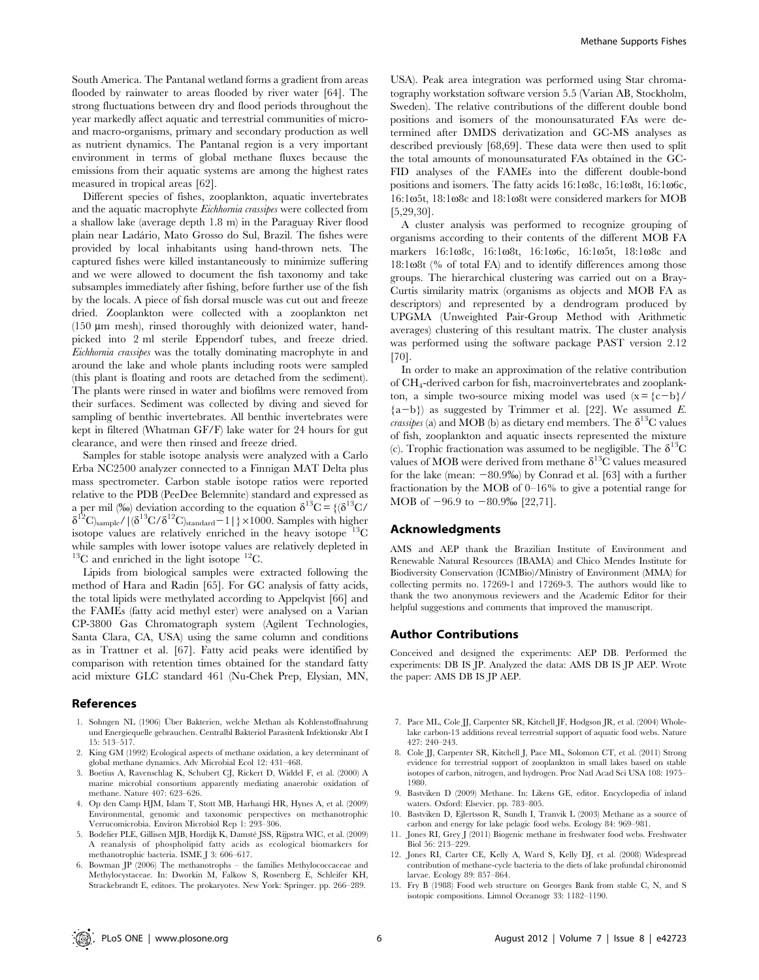South America. The Pantanal wetland forms a gradient from areas flooded by rainwater to areas flooded by river water [64]. The strong fluctuations between dry and flood periods throughout the year markedly affect aquatic and terrestrial communities of microand macro-organisms, primary and secondary production as well as nutrient dynamics. The Pantanal region is a very important environment in terms of global methane fluxes because the emissions from their aquatic systems are among the highest rates measured in tropical areas [62].

Different species of fishes, zooplankton, aquatic invertebrates and the aquatic macrophyte Eichhornia crassipes were collected from a shallow lake (average depth 1.8 m) in the Paraguay River flood plain near Lada´rio, Mato Grosso do Sul, Brazil. The fishes were provided by local inhabitants using hand-thrown nets. The captured fishes were killed instantaneously to minimize suffering and we were allowed to document the fish taxonomy and take subsamples immediately after fishing, before further use of the fish by the locals. A piece of fish dorsal muscle was cut out and freeze dried. Zooplankton were collected with a zooplankton net  $(150 \mu m$  mesh), rinsed thoroughly with deionized water, handpicked into 2 ml sterile Eppendorf tubes, and freeze dried. Eichhornia crassipes was the totally dominating macrophyte in and around the lake and whole plants including roots were sampled (this plant is floating and roots are detached from the sediment). The plants were rinsed in water and biofilms were removed from their surfaces. Sediment was collected by diving and sieved for sampling of benthic invertebrates. All benthic invertebrates were kept in filtered (Whatman GF/F) lake water for 24 hours for gut clearance, and were then rinsed and freeze dried.

Samples for stable isotope analysis were analyzed with a Carlo Erba NC2500 analyzer connected to a Finnigan MAT Delta plus mass spectrometer. Carbon stable isotope ratios were reported relative to the PDB (PeeDee Belemnite) standard and expressed as a per mil (%) deviation according to the equation  $\delta^{13}C = \{(\delta^{13}C/\delta^{13})\}$  $\delta^{12}C$ <sub>)sample</sub>/ $\int (\delta^{13}C/\delta^{12}C)_{standard}-1$  | } × 1000. Samples with higher isotope values are relatively enriched in the heavy isotope  $13^{\circ}$ C while samples with lower isotope values are relatively depleted in  ${}^{13}$ C and enriched in the light isotope  ${}^{12}$ C.

Lipids from biological samples were extracted following the method of Hara and Radin [65]. For GC analysis of fatty acids, the total lipids were methylated according to Appelqvist [66] and the FAMEs (fatty acid methyl ester) were analysed on a Varian CP-3800 Gas Chromatograph system (Agilent Technologies, Santa Clara, CA, USA) using the same column and conditions as in Trattner et al. [67]. Fatty acid peaks were identified by comparison with retention times obtained for the standard fatty acid mixture GLC standard 461 (Nu-Chek Prep, Elysian, MN,

#### References

- 1. Sohngen NL (1906) Über Bakterien, welche Methan als Kohlenstoffnahrung und Energiequelle gebrauchen. Centralbl Bakteriol Parasitenk Infektionskr Abt I 15: 513–517.
- 2. King GM (1992) Ecological aspects of methane oxidation, a key determinant of global methane dynamics. Adv Microbial Ecol 12: 431–468.
- 3. Boetius A, Ravenschlag K, Schubert CJ, Rickert D, Widdel F, et al. (2000) A marine microbial consortium apparently mediating anaerobic oxidation of methane. Nature 407: 623–626.
- 4. Op den Camp HJM, Islam T, Stott MB, Harhangi HR, Hynes A, et al. (2009) Environmental, genomic and taxonomic perspectives on methanotrophic Verrucomicrobia. Environ Microbiol Rep 1: 293–306.
- 5. Bodelier PLE, Gillisen MJB, Hordijk K, Damsté JSS, Rijpstra WIC, et al. (2009) A reanalysis of phospholipid fatty acids as ecological biomarkers for methanotrophic bacteria. ISME J 3: 606–617.
- 6. Bowman JP (2006) The methanotrophs the families Methylococcaceae and Methylocystaceae. In: Dworkin M, Falkow S, Rosenberg E, Schleifer KH, Strackebrandt E, editors. The prokaryotes. New York: Springer. pp. 266–289.

USA). Peak area integration was performed using Star chromatography workstation software version 5.5 (Varian AB, Stockholm, Sweden). The relative contributions of the different double bond positions and isomers of the monounsaturated FAs were determined after DMDS derivatization and GC-MS analyses as described previously [68,69]. These data were then used to split the total amounts of monounsaturated FAs obtained in the GC-FID analyses of the FAMEs into the different double-bond positions and isomers. The fatty acids  $16:1\omega8c$ ,  $16:1\omega8t$ ,  $16:1\omega6c$ , 16:1 $\omega$ 5t, 18:1 $\omega$ 8c and 18:1 $\omega$ 8t were considered markers for MOB [5,29,30].

A cluster analysis was performed to recognize grouping of organisms according to their contents of the different MOB FA markers 16:108c, 16:108t, 16:106c, 16:105t, 18:108c and  $18:1\omega8t$  (% of total FA) and to identify differences among those groups. The hierarchical clustering was carried out on a Bray-Curtis similarity matrix (organisms as objects and MOB FA as descriptors) and represented by a dendrogram produced by UPGMA (Unweighted Pair-Group Method with Arithmetic averages) clustering of this resultant matrix. The cluster analysis was performed using the software package PAST version 2.12 [70].

In order to make an approximation of the relative contribution of CH4-derived carbon for fish, macroinvertebrates and zooplankton, a simple two-source mixing model was used  $(x = {c-b}/$  ${a-b}$ ) as suggested by Trimmer et al. [22]. We assumed E. *crassipes* (a) and MOB (b) as dietary end members. The  $\delta^{13}C$  values of fish, zooplankton and aquatic insects represented the mixture (c). Trophic fractionation was assumed to be negligible. The  $\delta^{13}$ C values of MOB were derived from methane  $\delta^{13}$ C values measured for the lake (mean:  $-80.9\%$ ) by Conrad et al. [63] with a further fractionation by the MOB of 0–16% to give a potential range for MOB of  $-96.9$  to  $-80.9\%$  [22,71].

## Acknowledgments

AMS and AEP thank the Brazilian Institute of Environment and Renewable Natural Resources (IBAMA) and Chico Mendes Institute for Biodiversity Conservation (ICMBio)/Ministry of Environment (MMA) for collecting permits no. 17269-1 and 17269-3. The authors would like to thank the two anonymous reviewers and the Academic Editor for their helpful suggestions and comments that improved the manuscript.

#### Author Contributions

Conceived and designed the experiments: AEP DB. Performed the experiments: DB IS JP. Analyzed the data: AMS DB IS JP AEP. Wrote the paper: AMS DB IS JP AEP.

- 7. Pace ML, Cole JJ, Carpenter SR, Kitchell JF, Hodgson JR, et al. (2004) Wholelake carbon-13 additions reveal terrestrial support of aquatic food webs. Nature 427: 240–243.
- 8. Cole JJ, Carpenter SR, Kitchell J, Pace ML, Solomon CT, et al. (2011) Strong evidence for terrestrial support of zooplankton in small lakes based on stable isotopes of carbon, nitrogen, and hydrogen. Proc Natl Acad Sci USA 108: 1975– 1980.
- 9. Bastviken D (2009) Methane. In: Likens GE, editor. Encyclopedia of inland waters. Oxford: Elsevier. pp. 783–805.
- 10. Bastviken D, Ejlertsson R, Sundh I, Tranvik L (2003) Methane as a source of carbon and energy for lake pelagic food webs. Ecology 84: 969–981.
- 11. Jones RI, Grey J (2011) Biogenic methane in freshwater food webs. Freshwater Biol 56: 213–229.
- 12. Jones RI, Carter CE, Kelly A, Ward S, Kelly DJ, et al. (2008) Widespread contribution of methane-cycle bacteria to the diets of lake profundal chironomid larvae. Ecology 89: 857–864.
- 13. Fry B (1988) Food web structure on Georges Bank from stable C, N, and S isotopic compositions. Limnol Oceanogr 33: 1182–1190.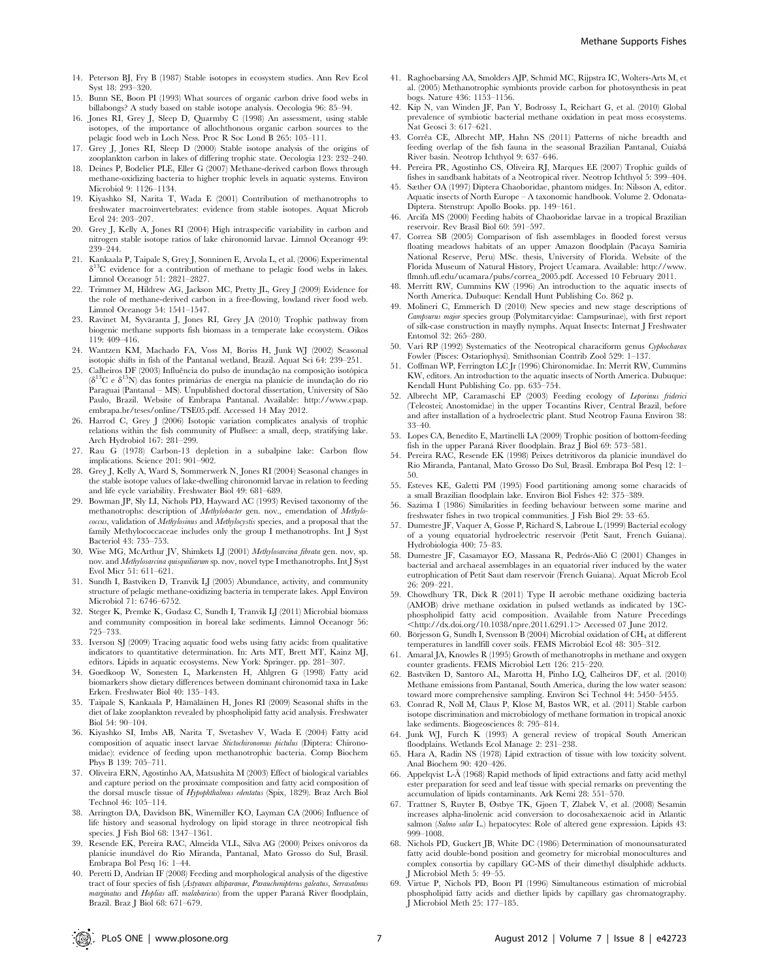- 14. Peterson BJ, Fry B (1987) Stable isotopes in ecosystem studies. Ann Rev Ecol Syst 18: 293–320.
- 15. Bunn SE, Boon PI (1993) What sources of organic carbon drive food webs in billabongs? A study based on stable isotope analysis. Oecologia 96: 85–94.
- 16. Jones RI, Grey J, Sleep D, Quarmby C (1998) An assessment, using stable isotopes, of the importance of allochthonous organic carbon sources to the pelagic food web in Loch Ness. Proc R Soc Lond B 265: 105–111.
- 17. Grey J, Jones RI, Sleep D (2000) Stable isotope analysis of the origins of zooplankton carbon in lakes of differing trophic state. Oecologia 123: 232–240.
- 18. Deines P, Bodelier PLE, Eller G (2007) Methane-derived carbon flows through methane-oxidizing bacteria to higher trophic levels in aquatic systems. Environ Microbiol 9: 1126–1134.
- 19. Kiyashko SI, Narita T, Wada E (2001) Contribution of methanotrophs to freshwater macroinvertebrates: evidence from stable isotopes. Aquat Microb Ecol 24: 203–207.
- 20. Grey J, Kelly A, Jones RI (2004) High intraspecific variability in carbon and nitrogen stable isotope ratios of lake chironomid larvae. Limnol Oceanogr 49: 239–244.
- 21. Kankaala P, Taipale S, Grey J, Sonninen E, Arvola L, et al. (2006) Experimental  $\delta^{13}$ C evidence for a contribution of methane to pelagic food webs in lakes. Limnol Oceanogr 51: 2821–2827.
- 22. Trimmer M, Hildrew AG, Jackson MC, Pretty JL, Grey J (2009) Evidence for the role of methane-derived carbon in a free-flowing, lowland river food web. Limnol Oceanogr 54: 1541–1547.
- 23. Ravinet M, Syväranta J, Jones RI, Grey JA (2010) Trophic pathway from biogenic methane supports fish biomass in a temperate lake ecosystem. Oikos 119: 409–416.
- 24. Wantzen KM, Machado FA, Voss M, Boriss H, Junk WJ (2002) Seasonal isotopic shifts in fish of the Pantanal wetland, Brazil. Aquat Sci 64: 239–251.
- 25. Calheiros DF (2003) Influência do pulso de inundação na composição isotópica  $(\delta^{13}C e \delta^{15}N)$  das fontes primárias de energia na planície de inundação do rio Paraguai (Pantanal – MS). Unpublished doctoral dissertation, University of São Paulo, Brazil. Website of Embrapa Pantanal. Available: http://www.cpap. embrapa.br/teses/online/TSE05.pdf. Accessed 14 May 2012.
- 26. Harrod C, Grey J (2006) Isotopic variation complicates analysis of trophic relations within the fish community of Plußsee: a small, deep, stratifying lake. Arch Hydrobiol 167: 281–299.
- 27. Rau G (1978) Carbon-13 depletion in a subalpine lake: Carbon flow implications. Science 201: 901–902.
- 28. Grey J, Kelly A, Ward S, Sommerwerk N, Jones RI (2004) Seasonal changes in the stable isotope values of lake-dwelling chironomid larvae in relation to feeding and life cycle variability. Freshwater Biol 49: 681–689.
- 29. Bowman JP, Sly LI, Nichols PD, Hayward AC (1993) Revised taxonomy of the methanotrophs: description of Methylobacter gen. nov., emendation of Methylococcus, validation of Methylosinus and Methylocystis species, and a proposal that the family Methylococcaceae includes only the group I methanotrophs. Int J Syst Bacteriol 43: 735–753.
- 30. Wise MG, McArthur JV, Shimkets LJ (2001) Methylosarcina fibrata gen. nov, sp. nov. and Methylosarcina quisquiliarum sp. nov, novel type I methanotrophs. Int J Syst Evol Micr 51: 611–621.
- 31. Sundh I, Bastviken D, Tranvik LJ (2005) Abundance, activity, and community structure of pelagic methane-oxidizing bacteria in temperate lakes. Appl Environ Microbiol 71: 6746–6752.
- 32. Steger K, Premke K, Gudasz C, Sundh I, Tranvik LJ (2011) Microbial biomass and community composition in boreal lake sediments. Limnol Oceanogr 56: 725–733.
- 33. Iverson SJ (2009) Tracing aquatic food webs using fatty acids: from qualitative indicators to quantitative determination. In: Arts MT, Brett MT, Kainz MJ, editors. Lipids in aquatic ecosystems. New York: Springer. pp. 281–307.
- 34. Goedkoop W, Sonesten L, Markensten H, Ahlgren G (1998) Fatty acid biomarkers show dietary differences between dominant chironomid taxa in Lake Erken. Freshwater Biol 40: 135–143.
- 35. Taipale S, Kankaala P, Hämäläinen H, Jones RI (2009) Seasonal shifts in the diet of lake zooplankton revealed by phospholipid fatty acid analysis. Freshwater Biol 54: 90–104.
- 36. Kiyashko SI, Imbs AB, Narita T, Svetashev V, Wada E (2004) Fatty acid composition of aquatic insect larvae Stictochironomus pictulus (Diptera: Chironomidae): evidence of feeding upon methanotrophic bacteria. Comp Biochem Phys B 139: 705–711.
- 37. Oliveira ERN, Agostinho AA, Matsushita M (2003) Effect of biological variables and capture period on the proximate composition and fatty acid composition of the dorsal muscle tissue of Hypophthalmus edentatus (Spix, 1829). Braz Arch Biol Technol 46: 105–114.
- 38. Arrington DA, Davidson BK, Winemiller KO, Layman CA (2006) Influence of life history and seasonal hydrology on lipid storage in three neotropical fish species. J Fish Biol 68: 1347–1361.
- 39. Resende EK, Pereira RAC, Almeida VLL, Silva AG (2000) Peixes onı´voros da planı´cie inunda´vel do Rio Miranda, Pantanal, Mato Grosso do Sul, Brasil. Embrapa Bol Pesq 16: 1–44.
- 40. Peretti D, Andrian IF (2008) Feeding and morphological analysis of the digestive tract of four species of fish (Astyanax altiparanae, Parauchenipterus galeatus, Serrasalmus marginatus and Hoplias aff. malabaricus) from the upper Paraná River floodplain, Brazil. Braz J Biol 68: 671–679.
- 41. Raghoebarsing AA, Smolders AJP, Schmid MC, Rijpstra IC, Wolters-Arts M, et al. (2005) Methanotrophic symbionts provide carbon for photosynthesis in peat bogs. Nature 436: 1153–1156.
- 42. Kip N, van Winden JF, Pan Y, Bodrossy L, Reichart G, et al. (2010) Global prevalence of symbiotic bacterial methane oxidation in peat moss ecosystems. Nat Geosci 3: 617–621.
- 43. Corrêa CE, Albrecht MP, Hahn NS (2011) Patterns of niche breadth and feeding overlap of the fish fauna in the seasonal Brazilian Pantanal, Cuiaba´ River basin. Neotrop Ichthyol 9: 637–646.
- 44. Pereira PR, Agostinho CS, Oliveira RJ, Marques EE (2007) Trophic guilds of fishes in sandbank habitats of a Neotropical river. Neotrop Ichthyol 5: 399–404.
- 45. Sæther OA (1997) Diptera Chaoboridae, phantom midges. In: Nilsson A, editor. Aquatic insects of North Europe – A taxonomic handbook. Volume 2. Odonata-Diptera. Stenstrup: Apollo Books. pp. 149–161.
- 46. Arcifa MS (2000) Feeding habits of Chaoboridae larvae in a tropical Brazilian reservoir. Rev Brasil Biol 60: 591–597.
- 47. Correa SB (2005) Comparison of fish assemblages in flooded forest versus floating meadows habitats of an upper Amazon floodplain (Pacaya Samiria National Reserve, Peru) MSc. thesis, University of Florida. Website of the Florida Museum of Natural History, Project Ucamara. Available: http://www. flmnh.ufl.edu/ucamara/pubs/correa\_2005.pdf. Accessed 10 February 2011.
- 48. Merritt RW, Cummins KW (1996) An introduction to the aquatic insects of North America. Dubuque: Kendall Hunt Publishing Co. 862 p.
- 49. Molineri C, Emmerich D (2010) New species and new stage descriptions of Campsurus major species group (Polymitarcyidae: Campsurinae), with first report of silk-case construction in mayfly nymphs. Aquat Insects: Internat J Freshwater Entomol 32: 265–280.
- 50. Vari RP (1992) Systematics of the Neotropical characiform genus Cyphocharax Fowler (Pisces: Ostariophysi). Smithsonian Contrib Zool 529: 1–137.
- 51. Coffman WP, Ferrington LC Jr (1996) Chironomidae. In: Merrit RW, Cummins KW, editors. An introduction to the aquatic insects of North America. Dubuque: Kendall Hunt Publishing Co. pp. 635–754.
- 52. Albrecht MP, Caramaschi EP (2003) Feeding ecology of Leporinus friderici (Teleostei; Anostomidae) in the upper Tocantins River, Central Brazil, before and after installation of a hydroelectric plant. Stud Neotrop Fauna Environ 38: 33–40.
- 53. Lopes CA, Benedito E, Martinelli LA (2009) Trophic position of bottom-feeding fish in the upper Paraná River floodplain. Braz J Biol 69: 573–581.
- 54. Pereira RAC, Resende EK (1998) Peixes detritívoros da planície inundável do Rio Miranda, Pantanal, Mato Grosso Do Sul, Brasil. Embrapa Bol Pesq 12: 1– 50.
- 55. Esteves KE, Galetti PM (1995) Food partitioning among some characids of a small Brazilian floodplain lake. Environ Biol Fishes 42: 375–389.
- 56. Sazima I (1986) Similarities in feeding behaviour between some marine and freshwater fishes in two tropical communities. J Fish Biol 29: 53–65.
- 57. Dumestre JF, Vaquer A, Gosse P, Richard S, Labroue L (1999) Bacterial ecology of a young equatorial hydroelectric reservoir (Petit Saut, French Guiana). Hydrobiologia 400: 75–83.
- 58. Dumestre JF, Casamayor EO, Massana R, Pedrós-Alió C (2001) Changes in bacterial and archaeal assemblages in an equatorial river induced by the water eutrophication of Petit Saut dam reservoir (French Guiana). Aquat Microb Ecol 26: 209–221.
- 59. Chowdhury TR, Dick R (2011) Type II aerobic methane oxidizing bacteria (AMOB) drive methane oxidation in pulsed wetlands as indicated by 13Cphospholipid fatty acid composition. Available from Nature Precedings  $\frac{\text{http://dx.doi.org/10.1038/npre.2011.6291.1>}\text{Accessed } 07 \text{ June } 2012.}$
- 60. Börjesson G, Sundh I, Svensson B (2004) Microbial oxidation of  $CH_4$  at different temperatures in landfill cover soils. FEMS Microbiol Ecol 48: 305–312.
- 61. Amaral JA, Knowles R (1995) Growth of methanotrophs in methane and oxygen counter gradients. FEMS Microbiol Lett 126: 215–220.
- 62. Bastviken D, Santoro AL, Marotta H, Pinho LQ, Calheiros DF, et al. (2010) Methane emissions from Pantanal, South America, during the low water season: toward more comprehensive sampling. Environ Sci Technol 44: 5450–5455.
- 63. Conrad R, Noll M, Claus P, Klose M, Bastos WR, et al. (2011) Stable carbon isotope discrimination and microbiology of methane formation in tropical anoxic lake sediments. Biogeosciences 8: 795–814.
- 64. Junk WJ, Furch K (1993) A general review of tropical South American floodplains. Wetlands Ecol Manage 2: 231–238.
- 65. Hara A, Radin NS (1978) Lipid extraction of tissue with low toxicity solvent. Anal Biochem 90: 420–426.
- 66. Appelqvist L-A˚ (1968) Rapid methods of lipid extractions and fatty acid methyl ester preparation for seed and leaf tissue with special remarks on preventing the accumulation of lipids contaminants. Ark Kemi 28: 551–570.
- 67. Trattner S, Ruyter B, Østbye TK, Gjøen T, Zlabek V, et al. (2008) Sesamin increases alpha-linolenic acid conversion to docosahexaenoic acid in Atlantic salmon (Salmo salar L.) hepatocytes: Role of altered gene expression. Lipids 43: 999–1008.
- 68. Nichols PD, Guckert JB, White DC (1986) Determination of monounsaturated fatty acid double-bond position and geometry for microbial monocultures and complex consortia by capillary GC-MS of their dimethyl disulphide adducts. J Microbiol Meth 5: 49–55.
- 69. Virtue P, Nichols PD, Boon PI (1996) Simultaneous estimation of microbial phospholipid fatty acids and diether lipids by capillary gas chromatography. J Microbiol Meth 25: 177–185.